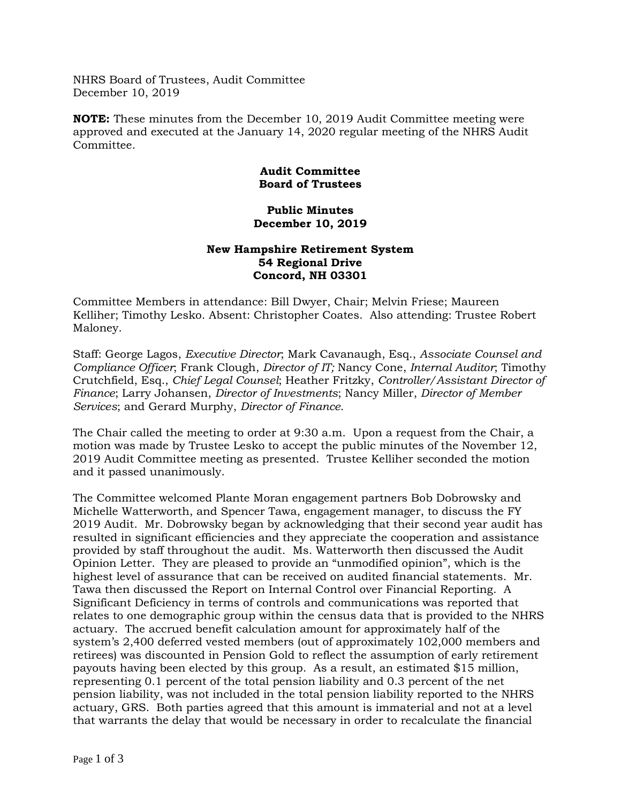NHRS Board of Trustees, Audit Committee December 10, 2019

**NOTE:** These minutes from the December 10, 2019 Audit Committee meeting were approved and executed at the January 14, 2020 regular meeting of the NHRS Audit Committee.

## **Audit Committee Board of Trustees**

## **Public Minutes December 10, 2019**

## **New Hampshire Retirement System 54 Regional Drive Concord, NH 03301**

Committee Members in attendance: Bill Dwyer, Chair; Melvin Friese; Maureen Kelliher; Timothy Lesko. Absent: Christopher Coates. Also attending: Trustee Robert Maloney.

Staff: George Lagos, *Executive Director*; Mark Cavanaugh, Esq., *Associate Counsel and Compliance Officer*; Frank Clough, *Director of IT;* Nancy Cone, *Internal Auditor*; Timothy Crutchfield, Esq., *Chief Legal Counsel*; Heather Fritzky, *Controller/Assistant Director of Finance*; Larry Johansen, *Director of Investments*; Nancy Miller, *Director of Member Services*; and Gerard Murphy, *Director of Finance*.

The Chair called the meeting to order at 9:30 a.m. Upon a request from the Chair, a motion was made by Trustee Lesko to accept the public minutes of the November 12, 2019 Audit Committee meeting as presented. Trustee Kelliher seconded the motion and it passed unanimously.

The Committee welcomed Plante Moran engagement partners Bob Dobrowsky and Michelle Watterworth, and Spencer Tawa, engagement manager, to discuss the FY 2019 Audit. Mr. Dobrowsky began by acknowledging that their second year audit has resulted in significant efficiencies and they appreciate the cooperation and assistance provided by staff throughout the audit. Ms. Watterworth then discussed the Audit Opinion Letter. They are pleased to provide an "unmodified opinion", which is the highest level of assurance that can be received on audited financial statements. Mr. Tawa then discussed the Report on Internal Control over Financial Reporting. A Significant Deficiency in terms of controls and communications was reported that relates to one demographic group within the census data that is provided to the NHRS actuary. The accrued benefit calculation amount for approximately half of the system's 2,400 deferred vested members (out of approximately 102,000 members and retirees) was discounted in Pension Gold to reflect the assumption of early retirement payouts having been elected by this group. As a result, an estimated \$15 million, representing 0.1 percent of the total pension liability and 0.3 percent of the net pension liability, was not included in the total pension liability reported to the NHRS actuary, GRS. Both parties agreed that this amount is immaterial and not at a level that warrants the delay that would be necessary in order to recalculate the financial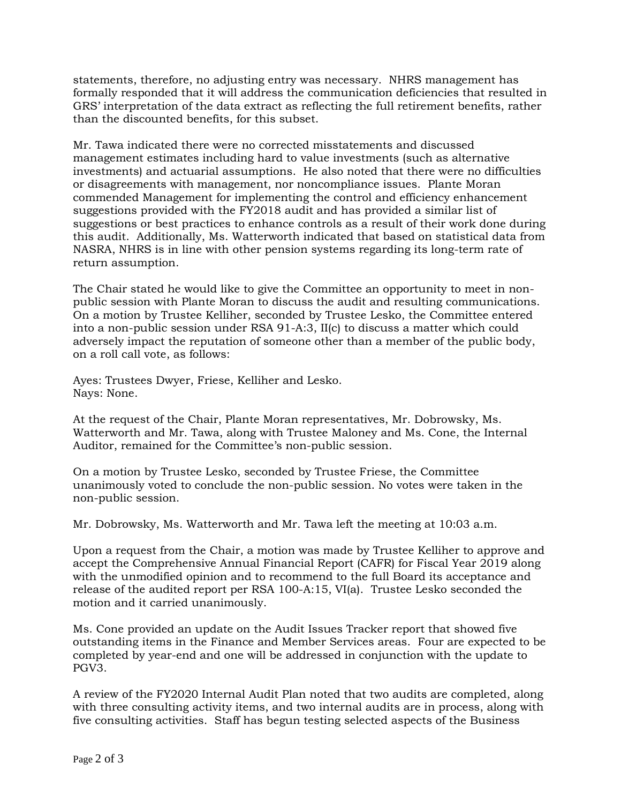statements, therefore, no adjusting entry was necessary. NHRS management has formally responded that it will address the communication deficiencies that resulted in GRS' interpretation of the data extract as reflecting the full retirement benefits, rather than the discounted benefits, for this subset.

Mr. Tawa indicated there were no corrected misstatements and discussed management estimates including hard to value investments (such as alternative investments) and actuarial assumptions. He also noted that there were no difficulties or disagreements with management, nor noncompliance issues. Plante Moran commended Management for implementing the control and efficiency enhancement suggestions provided with the FY2018 audit and has provided a similar list of suggestions or best practices to enhance controls as a result of their work done during this audit. Additionally, Ms. Watterworth indicated that based on statistical data from NASRA, NHRS is in line with other pension systems regarding its long-term rate of return assumption.

The Chair stated he would like to give the Committee an opportunity to meet in nonpublic session with Plante Moran to discuss the audit and resulting communications. On a motion by Trustee Kelliher, seconded by Trustee Lesko, the Committee entered into a non-public session under RSA 91-A:3, II(c) to discuss a matter which could adversely impact the reputation of someone other than a member of the public body, on a roll call vote, as follows:

Ayes: Trustees Dwyer, Friese, Kelliher and Lesko. Nays: None.

At the request of the Chair, Plante Moran representatives, Mr. Dobrowsky, Ms. Watterworth and Mr. Tawa, along with Trustee Maloney and Ms. Cone, the Internal Auditor, remained for the Committee's non-public session.

On a motion by Trustee Lesko, seconded by Trustee Friese, the Committee unanimously voted to conclude the non-public session. No votes were taken in the non-public session.

Mr. Dobrowsky, Ms. Watterworth and Mr. Tawa left the meeting at 10:03 a.m.

Upon a request from the Chair, a motion was made by Trustee Kelliher to approve and accept the Comprehensive Annual Financial Report (CAFR) for Fiscal Year 2019 along with the unmodified opinion and to recommend to the full Board its acceptance and release of the audited report per RSA 100-A:15, VI(a). Trustee Lesko seconded the motion and it carried unanimously.

Ms. Cone provided an update on the Audit Issues Tracker report that showed five outstanding items in the Finance and Member Services areas. Four are expected to be completed by year-end and one will be addressed in conjunction with the update to PGV3.

A review of the FY2020 Internal Audit Plan noted that two audits are completed, along with three consulting activity items, and two internal audits are in process, along with five consulting activities. Staff has begun testing selected aspects of the Business